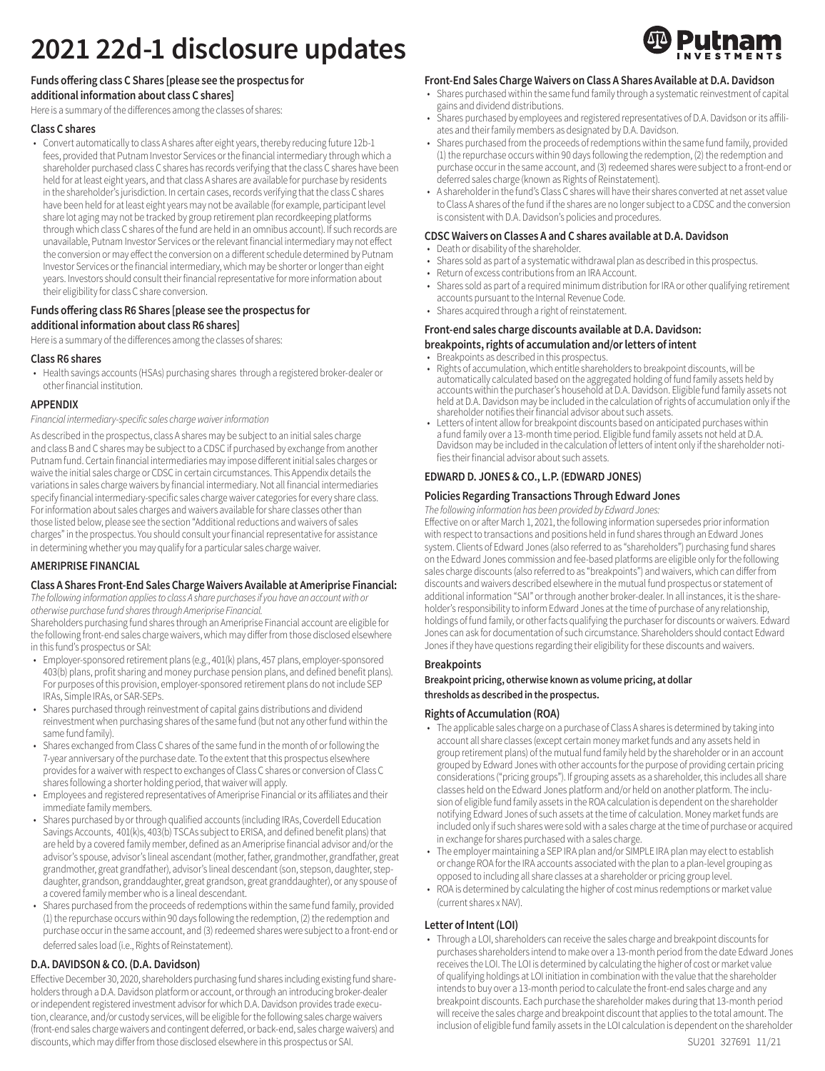# **2021 22d-1 disclosure updates**

# **Funds offering class C Shares [please see the prospectus for additional information about class C shares]**

Here is a summary of the differences among the classes of shares:

# **Class C shares**

• Convert automatically to class A shares after eight years, thereby reducing future 12b-1 fees, provided that Putnam Investor Services or the financial intermediary through which a shareholder purchased class C shares has records verifying that the class C shares have been held for at least eight years, and that class A shares are available for purchase by residents in the shareholder's jurisdiction. In certain cases, records verifying that the class C shares have been held for at least eight years may not be available (for example, participant level share lot aging may not be tracked by group retirement plan recordkeeping platforms through which class C shares of the fund are held in an omnibus account). If such records are unavailable, Putnam Investor Services or the relevant financial intermediary may not effect the conversion or may effect the conversion on a different schedule determined by Putnam Investor Services or the financial intermediary, which may be shorter or longer than eight years. Investors should consult their financial representative for more information about their eligibility for class C share conversion.

# **Funds offering class R6 Shares [please see the prospectus for additional information about class R6 shares]**

Here is a summary of the differences among the classes of shares:

## **Class R6 shares**

• Health savings accounts (HSAs) purchasing shares through a registered broker-dealer or other financial institution.

## **APPENDIX**

Financial intermediary-specific sales charge waiver information

As described in the prospectus, class A shares may be subject to an initial sales charge and class B and C shares may be subject to a CDSC if purchased by exchange from another Putnam fund. Certain financial intermediaries may impose different initial sales charges or waive the initial sales charge or CDSC in certain circumstances. This Appendix details the variations in sales charge waivers by financial intermediary. Not all financial intermediaries specify financial intermediary-specific sales charge waiver categories for every share class. For information about sales charges and waivers available for share classes other than those listed below, please see the section "Additional reductions and waivers of sales charges" in the prospectus. You should consult your financial representative for assistance in determining whether you may qualify for a particular sales charge waiver.

# **AMERIPRISE FINANCIAL**

#### **Class A Shares Front-End Sales Charge Waivers Available at Ameriprise Financial:**

The following information applies to class A share purchases if you have an account with or otherwise purchase fund shares through Ameriprise Financial.

Shareholders purchasing fund shares through an Ameriprise Financial account are eligible for the following front-end sales charge waivers, which may differ from those disclosed elsewhere in this fund's prospectus or SAI:

- Employer-sponsored retirement plans (e.g., 401(k) plans, 457 plans, employer-sponsored 403(b) plans, profit sharing and money purchase pension plans, and defined benefit plans). For purposes of this provision, employer-sponsored retirement plans do not include SEP IRAs, Simple IRAs, or SAR-SEPs.
- Shares purchased through reinvestment of capital gains distributions and dividend reinvestment when purchasing shares of the same fund (but not any other fund within the same fund family).
- Shares exchanged from Class C shares of the same fund in the month of or following the 7-year anniversary of the purchase date. To the extent that this prospectus elsewhere provides for a waiver with respect to exchanges of Class C shares or conversion of Class C shares following a shorter holding period, that waiver will apply.
- Employees and registered representatives of Ameriprise Financial or its affiliates and their immediate family members.
- Shares purchased by or through qualified accounts (including IRAs, Coverdell Education Savings Accounts, 401(k)s, 403(b) TSCAs subject to ERISA, and defined benefit plans) that are held by a covered family member, defined as an Ameriprise financial advisor and/or the advisor's spouse, advisor's lineal ascendant (mother, father, grandmother, grandfather, great grandmother, great grandfather), advisor's lineal descendant (son, stepson, daughter, stepdaughter, grandson, granddaughter, great grandson, great granddaughter), or any spouse of a covered family member who is a lineal descendant.
- Shares purchased from the proceeds of redemptions within the same fund family, provided (1) the repurchase occurs within 90 days following the redemption, (2) the redemption and purchase occur in the same account, and (3) redeemed shares were subject to a front-end or deferred sales load (i.e., Rights of Reinstatement).

# **D.A. DAVIDSON & CO. (D.A. Davidson)**

Effective December 30, 2020, shareholders purchasing fund shares including existing fund shareholders through a D.A. Davidson platform or account, or through an introducing broker-dealer or independent registered investment advisor for which D.A. Davidson provides trade execution, clearance, and/or custody services, will be eligible for the following sales charge waivers (front-end sales charge waivers and contingent deferred, or back-end, sales charge waivers) and discounts, which may differ from those disclosed elsewhere in this prospectus or SAI.

## **Front-End Sales Charge Waivers on Class A Shares Available at D.A. Davidson**

- Shares purchased within the same fund family through a systematic reinvestment of capital gains and dividend distributions.
- Shares purchased by employees and registered representatives of D.A. Davidson or its affiliates and their family members as designated by D.A. Davidson.
- Shares purchased from the proceeds of redemptions within the same fund family, provided (1) the repurchase occurs within 90 days following the redemption, (2) the redemption and purchase occur in the same account, and (3) redeemed shares were subject to a front-end or deferred sales charge (known as Rights of Reinstatement).
- A shareholder in the fund's Class C shares will have their shares converted at net asset value to Class A shares of the fund if the shares are no longer subject to a CDSC and the conversion is consistent with D.A. Davidson's policies and procedures.

# **CDSC Waivers on Classes A and C shares available at D.A. Davidson**

- Death or disability of the shareholder.
- Shares sold as part of a systematic withdrawal plan as described in this prospectus.
- Return of excess contributions from an IRA Account.
- Shares sold as part of a required minimum distribution for IRA or other qualifying retirement accounts pursuant to the Internal Revenue Code.
- Shares acquired through a right of reinstatement.

# **Front-end sales charge discounts available at D.A. Davidson: breakpoints, rights of accumulation and/or letters of intent**

- Breakpoints as described in this prospectus.
- Rights of accumulation, which entitle shareholders to breakpoint discounts, will be automatically calculated based on the aggregated holding of fund family assets held by accounts within the purchaser's household at D.A. Davidson. Eligible fund family assets not held at D.A. Davidson may be included in the calculation of rights of accumulation only if the shareholder notifies their financial advisor about such assets.
- Letters of intent allow for breakpoint discounts based on anticipated purchases within a fund family over a 13-month time period. Eligible fund family assets not held at D.A. Davidson may be included in the calculation of letters of intent only if the shareholder notifies their financial advisor about such assets.

# **EDWARD D. JONES & CO., L.P. (EDWARD JONES)**

# **Policies Regarding Transactions Through Edward Jones**

The following information has been provided by Edward Jones:

Effective on or after March 1, 2021, the following information supersedes prior information with respect to transactions and positions held in fund shares through an Edward Jones system. Clients of Edward Jones (also referred to as "shareholders") purchasing fund shares on the Edward Jones commission and fee-based platforms are eligible only for the following sales charge discounts (also referred to as "breakpoints") and waivers, which can differ from discounts and waivers described elsewhere in the mutual fund prospectus or statement of additional information "SAI" or through another broker-dealer. In all instances, it is the shareholder's responsibility to inform Edward Jones at the time of purchase of any relationship, holdings of fund family, or other facts qualifying the purchaser for discounts or waivers. Edward Jones can ask for documentation of such circumstance. Shareholders should contact Edward Jones if they have questions regarding their eligibility for these discounts and waivers.

#### **Breakpoints**

**Breakpoint pricing, otherwise known as volume pricing, at dollar thresholds as described in the prospectus.**

#### **Rights of Accumulation (ROA)**

- The applicable sales charge on a purchase of Class A shares is determined by taking into account all share classes (except certain money market funds and any assets held in group retirement plans) of the mutual fund family held by the shareholder or in an account grouped by Edward Jones with other accounts for the purpose of providing certain pricing considerations ("pricing groups"). If grouping assets as a shareholder, this includes all share classes held on the Edward Jones platform and/or held on another platform. The inclusion of eligible fund family assets in the ROA calculation is dependent on the shareholder notifying Edward Jones of such assets at the time of calculation. Money market funds are included only if such shares were sold with a sales charge at the time of purchase or acquired in exchange for shares purchased with a sales charge.
- The employer maintaining a SEP IRA plan and/or SIMPLE IRA plan may elect to establish or change ROA for the IRA accounts associated with the plan to a plan-level grouping as opposed to including all share classes at a shareholder or pricing group level.
- ROA is determined by calculating the higher of cost minus redemptions or market value (current shares x NAV).

# **Letter of Intent (LOI)**

• Through a LOI, shareholders can receive the sales charge and breakpoint discounts for purchases shareholders intend to make over a 13-month period from the date Edward Jones receives the LOI. The LOI is determined by calculating the higher of cost or market value of qualifying holdings at LOI initiation in combination with the value that the shareholder intends to buy over a 13-month period to calculate the front-end sales charge and any breakpoint discounts. Each purchase the shareholder makes during that 13-month period will receive the sales charge and breakpoint discount that applies to the total amount. The inclusion of eligible fund family assets in the LOI calculation is dependent on the shareholder